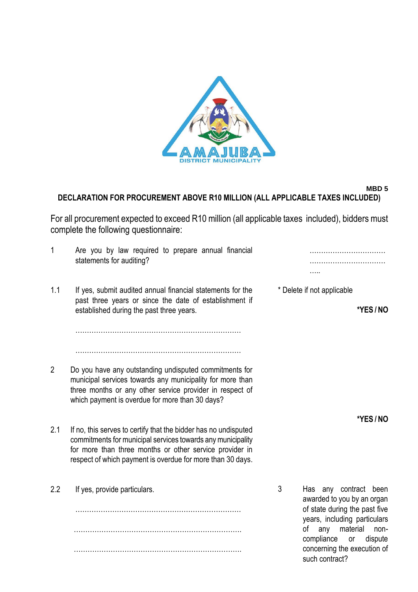

## **MBD 5 DECLARATION FOR PROCUREMENT ABOVE R10 MILLION (ALL APPLICABLE TAXES INCLUDED)**

For all procurement expected to exceed R10 million (all applicable taxes included), bidders must complete the following questionnaire:

| 1              | Are you by law required to prepare annual financial<br>statements for auditing?                                                                                                                                                                         |   |                                                                                 |                  |
|----------------|---------------------------------------------------------------------------------------------------------------------------------------------------------------------------------------------------------------------------------------------------------|---|---------------------------------------------------------------------------------|------------------|
| 1.1            | If yes, submit audited annual financial statements for the<br>past three years or since the date of establishment if<br>established during the past three years.                                                                                        |   | * Delete if not applicable                                                      | *YES/NO          |
|                |                                                                                                                                                                                                                                                         |   |                                                                                 |                  |
| $\overline{2}$ | Do you have any outstanding undisputed commitments for<br>municipal services towards any municipality for more than<br>three months or any other service provider in respect of<br>which payment is overdue for more than 30 days?                      |   |                                                                                 |                  |
| 2.1            | If no, this serves to certify that the bidder has no undisputed<br>commitments for municipal services towards any municipality<br>for more than three months or other service provider in<br>respect of which payment is overdue for more than 30 days. |   |                                                                                 | *YES/NO          |
| 2.2            | If yes, provide particulars.                                                                                                                                                                                                                            | 3 | Has any contract<br>awarded to you by an organ<br>of state during the past five | been             |
|                |                                                                                                                                                                                                                                                         |   | years, including particulars<br>οf<br>any                                       | material<br>non- |

……………………………………………………………….

such contract?

compliance or dispute concerning the execution of